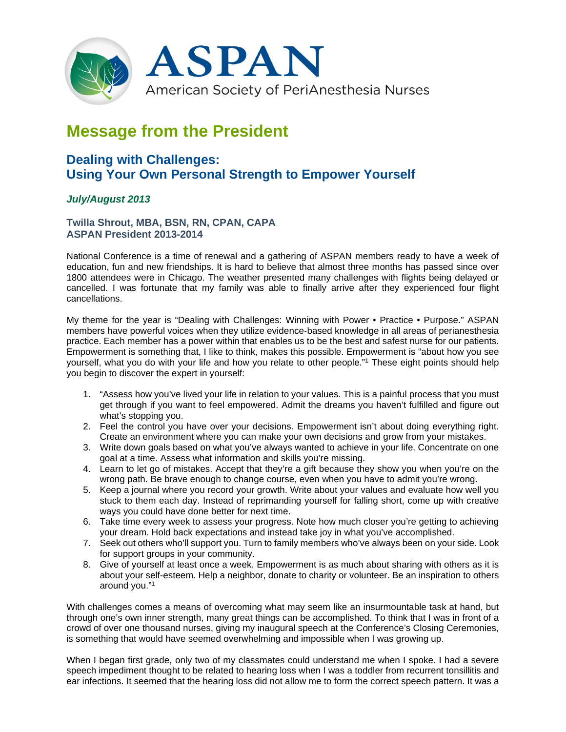

## **Message from the President**

## **Dealing with Challenges: Using Your Own Personal Strength to Empower Yourself**

## *July/August 2013*

**Twilla Shrout, MBA, BSN, RN, CPAN, CAPA ASPAN President 2013-2014**

National Conference is a time of renewal and a gathering of ASPAN members ready to have a week of education, fun and new friendships. It is hard to believe that almost three months has passed since over 1800 attendees were in Chicago. The weather presented many challenges with flights being delayed or cancelled. I was fortunate that my family was able to finally arrive after they experienced four flight cancellations.

My theme for the year is "Dealing with Challenges: Winning with Power • Practice • Purpose." ASPAN members have powerful voices when they utilize evidence-based knowledge in all areas of perianesthesia practice. Each member has a power within that enables us to be the best and safest nurse for our patients. Empowerment is something that, I like to think, makes this possible. Empowerment is "about how you see yourself, what you do with your life and how you relate to other people."<sup>1</sup> These eight points should help you begin to discover the expert in yourself:

- 1. "Assess how you've lived your life in relation to your values. This is a painful process that you must get through if you want to feel empowered. Admit the dreams you haven't fulfilled and figure out what's stopping you.
- 2. Feel the control you have over your decisions. Empowerment isn't about doing everything right. Create an environment where you can make your own decisions and grow from your mistakes.
- 3. Write down goals based on what you've always wanted to achieve in your life. Concentrate on one goal at a time. Assess what information and skills you're missing.
- 4. Learn to let go of mistakes. Accept that they're a gift because they show you when you're on the wrong path. Be brave enough to change course, even when you have to admit you're wrong.
- 5. Keep a journal where you record your growth. Write about your values and evaluate how well you stuck to them each day. Instead of reprimanding yourself for falling short, come up with creative ways you could have done better for next time.
- 6. Take time every week to assess your progress. Note how much closer you're getting to achieving your dream. Hold back expectations and instead take joy in what you've accomplished.
- 7. Seek out others who'll support you. Turn to family members who've always been on your side. Look for support groups in your community.
- 8. Give of yourself at least once a week. Empowerment is as much about sharing with others as it is about your self-esteem. Help a neighbor, donate to charity or volunteer. Be an inspiration to others around you."1

With challenges comes a means of overcoming what may seem like an insurmountable task at hand, but through one's own inner strength, many great things can be accomplished. To think that I was in front of a crowd of over one thousand nurses, giving my inaugural speech at the Conference's Closing Ceremonies, is something that would have seemed overwhelming and impossible when I was growing up.

When I began first grade, only two of my classmates could understand me when I spoke. I had a severe speech impediment thought to be related to hearing loss when I was a toddler from recurrent tonsillitis and ear infections. It seemed that the hearing loss did not allow me to form the correct speech pattern. It was a